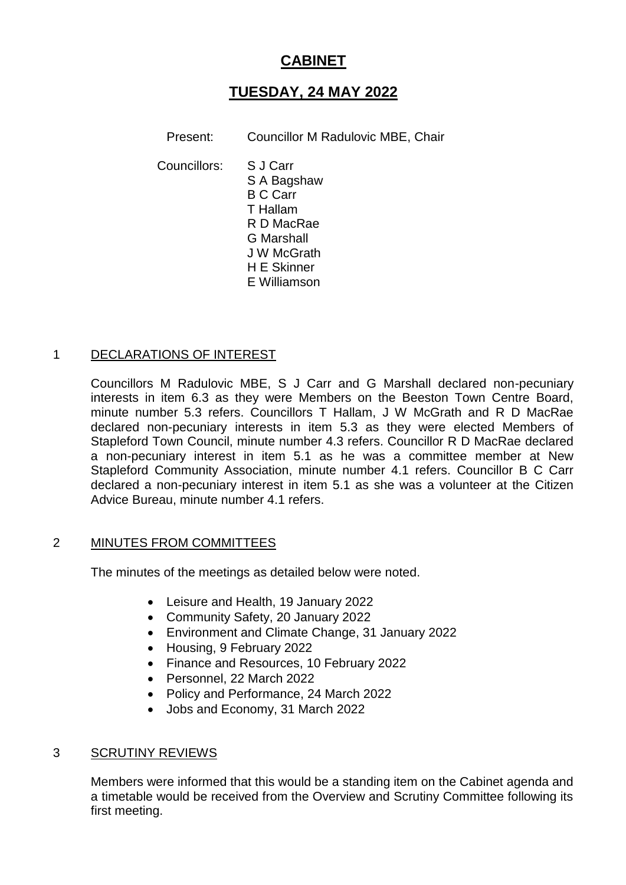# **CABINET**

# **TUESDAY, 24 MAY 2022**

Present: Councillor M Radulovic MBE, Chair

Councillors: S J Carr S A Bagshaw B C Carr T Hallam R D MacRae G Marshall J W McGrath H E Skinner E Williamson

## 1 DECLARATIONS OF INTEREST

Councillors M Radulovic MBE, S J Carr and G Marshall declared non-pecuniary interests in item 6.3 as they were Members on the Beeston Town Centre Board, minute number 5.3 refers. Councillors T Hallam, J W McGrath and R D MacRae declared non-pecuniary interests in item 5.3 as they were elected Members of Stapleford Town Council, minute number 4.3 refers. Councillor R D MacRae declared a non-pecuniary interest in item 5.1 as he was a committee member at New Stapleford Community Association, minute number 4.1 refers. Councillor B C Carr declared a non-pecuniary interest in item 5.1 as she was a volunteer at the Citizen Advice Bureau, minute number 4.1 refers.

## 2 MINUTES FROM COMMITTEES

The minutes of the meetings as detailed below were noted.

- Leisure and Health, 19 January 2022
- Community Safety, 20 January 2022
- Environment and Climate Change, 31 January 2022
- Housing, 9 February 2022
- Finance and Resources, 10 February 2022
- Personnel, 22 March 2022
- Policy and Performance, 24 March 2022
- Jobs and Economy, 31 March 2022

#### 3 SCRUTINY REVIEWS

Members were informed that this would be a standing item on the Cabinet agenda and a timetable would be received from the Overview and Scrutiny Committee following its first meeting.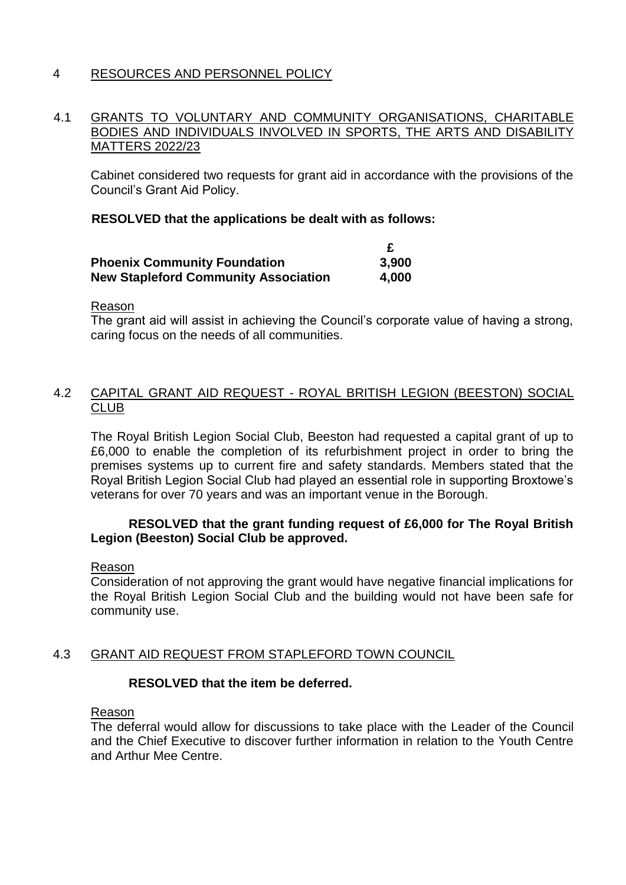## 4 RESOURCES AND PERSONNEL POLICY

### 4.1 GRANTS TO VOLUNTARY AND COMMUNITY ORGANISATIONS, CHARITABLE BODIES AND INDIVIDUALS INVOLVED IN SPORTS, THE ARTS AND DISABILITY MATTERS 2022/23

Cabinet considered two requests for grant aid in accordance with the provisions of the Council's Grant Aid Policy.

### **RESOLVED that the applications be dealt with as follows:**

| <b>Phoenix Community Foundation</b>         | 3,900 |
|---------------------------------------------|-------|
| <b>New Stapleford Community Association</b> | 4,000 |

Reason

The grant aid will assist in achieving the Council's corporate value of having a strong, caring focus on the needs of all communities.

## 4.2 CAPITAL GRANT AID REQUEST - ROYAL BRITISH LEGION (BEESTON) SOCIAL CLUB

The Royal British Legion Social Club, Beeston had requested a capital grant of up to £6,000 to enable the completion of its refurbishment project in order to bring the premises systems up to current fire and safety standards. Members stated that the Royal British Legion Social Club had played an essential role in supporting Broxtowe's veterans for over 70 years and was an important venue in the Borough.

## **RESOLVED that the grant funding request of £6,000 for The Royal British Legion (Beeston) Social Club be approved.**

#### Reason

Consideration of not approving the grant would have negative financial implications for the Royal British Legion Social Club and the building would not have been safe for community use.

## 4.3 GRANT AID REQUEST FROM STAPLEFORD TOWN COUNCIL

## **RESOLVED that the item be deferred.**

#### Reason

The deferral would allow for discussions to take place with the Leader of the Council and the Chief Executive to discover further information in relation to the Youth Centre and Arthur Mee Centre.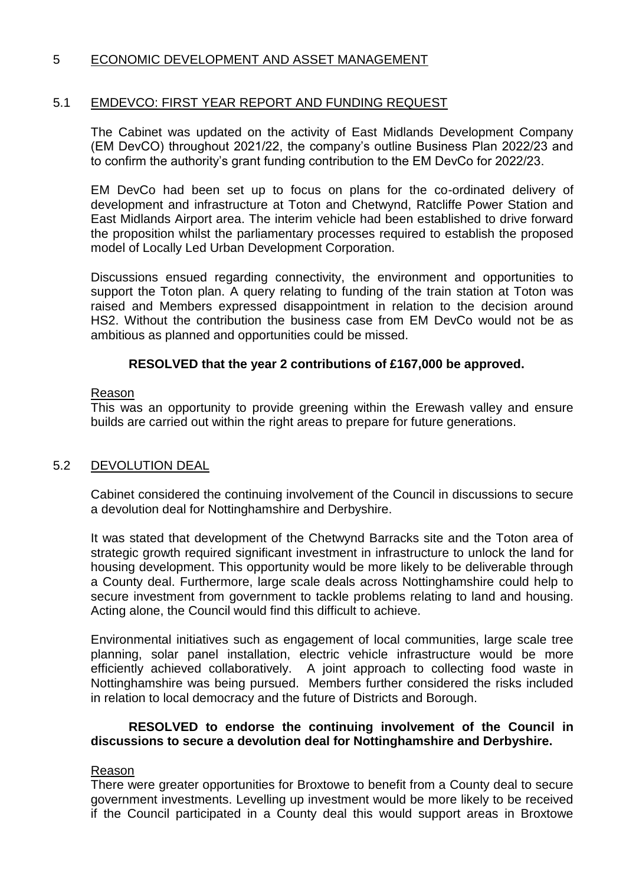## 5 ECONOMIC DEVELOPMENT AND ASSET MANAGEMENT

## 5.1 EMDEVCO: FIRST YEAR REPORT AND FUNDING REQUEST

The Cabinet was updated on the activity of East Midlands Development Company (EM DevCO) throughout 2021/22, the company's outline Business Plan 2022/23 and to confirm the authority's grant funding contribution to the EM DevCo for 2022/23.

EM DevCo had been set up to focus on plans for the co-ordinated delivery of development and infrastructure at Toton and Chetwynd, Ratcliffe Power Station and East Midlands Airport area. The interim vehicle had been established to drive forward the proposition whilst the parliamentary processes required to establish the proposed model of Locally Led Urban Development Corporation.

Discussions ensued regarding connectivity, the environment and opportunities to support the Toton plan. A query relating to funding of the train station at Toton was raised and Members expressed disappointment in relation to the decision around HS2. Without the contribution the business case from EM DevCo would not be as ambitious as planned and opportunities could be missed.

## **RESOLVED that the year 2 contributions of £167,000 be approved.**

#### Reason

This was an opportunity to provide greening within the Erewash valley and ensure builds are carried out within the right areas to prepare for future generations.

## 5.2 DEVOLUTION DEAL

Cabinet considered the continuing involvement of the Council in discussions to secure a devolution deal for Nottinghamshire and Derbyshire.

It was stated that development of the Chetwynd Barracks site and the Toton area of strategic growth required significant investment in infrastructure to unlock the land for housing development. This opportunity would be more likely to be deliverable through a County deal. Furthermore, large scale deals across Nottinghamshire could help to secure investment from government to tackle problems relating to land and housing. Acting alone, the Council would find this difficult to achieve.

Environmental initiatives such as engagement of local communities, large scale tree planning, solar panel installation, electric vehicle infrastructure would be more efficiently achieved collaboratively. A joint approach to collecting food waste in Nottinghamshire was being pursued. Members further considered the risks included in relation to local democracy and the future of Districts and Borough.

## **RESOLVED to endorse the continuing involvement of the Council in discussions to secure a devolution deal for Nottinghamshire and Derbyshire.**

#### Reason

There were greater opportunities for Broxtowe to benefit from a County deal to secure government investments. Levelling up investment would be more likely to be received if the Council participated in a County deal this would support areas in Broxtowe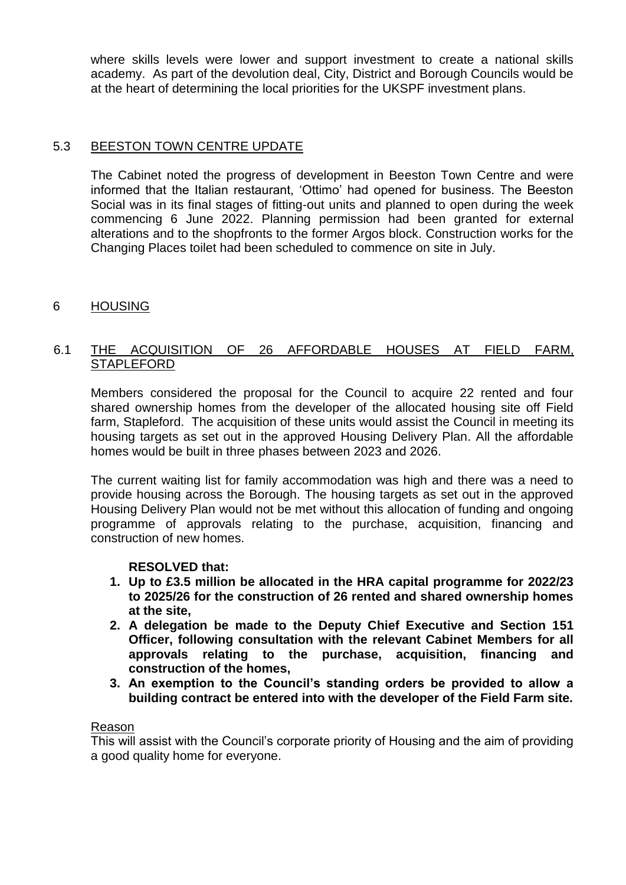where skills levels were lower and support investment to create a national skills academy. As part of the devolution deal, City, District and Borough Councils would be at the heart of determining the local priorities for the UKSPF investment plans.

## 5.3 BEESTON TOWN CENTRE UPDATE

The Cabinet noted the progress of development in Beeston Town Centre and were informed that the Italian restaurant, 'Ottimo' had opened for business. The Beeston Social was in its final stages of fitting-out units and planned to open during the week commencing 6 June 2022. Planning permission had been granted for external alterations and to the shopfronts to the former Argos block. Construction works for the Changing Places toilet had been scheduled to commence on site in July.

## 6 HOUSING

## 6.1 THE ACQUISITION OF 26 AFFORDABLE HOUSES AT FIELD FARM, **STAPLEFORD**

Members considered the proposal for the Council to acquire 22 rented and four shared ownership homes from the developer of the allocated housing site off Field farm, Stapleford. The acquisition of these units would assist the Council in meeting its housing targets as set out in the approved Housing Delivery Plan. All the affordable homes would be built in three phases between 2023 and 2026.

The current waiting list for family accommodation was high and there was a need to provide housing across the Borough. The housing targets as set out in the approved Housing Delivery Plan would not be met without this allocation of funding and ongoing programme of approvals relating to the purchase, acquisition, financing and construction of new homes.

## **RESOLVED that:**

- **1. Up to £3.5 million be allocated in the HRA capital programme for 2022/23 to 2025/26 for the construction of 26 rented and shared ownership homes at the site,**
- **2. A delegation be made to the Deputy Chief Executive and Section 151 Officer, following consultation with the relevant Cabinet Members for all approvals relating to the purchase, acquisition, financing and construction of the homes,**
- **3. An exemption to the Council's standing orders be provided to allow a building contract be entered into with the developer of the Field Farm site.**

#### Reason

This will assist with the Council's corporate priority of Housing and the aim of providing a good quality home for everyone.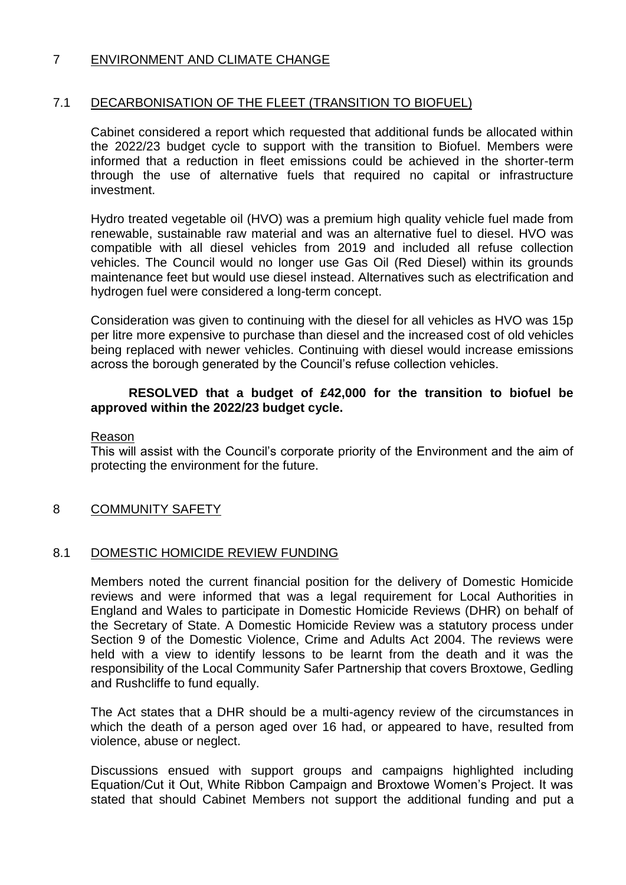## 7 ENVIRONMENT AND CLIMATE CHANGE

## 7.1 DECARBONISATION OF THE FLEET (TRANSITION TO BIOFUEL)

Cabinet considered a report which requested that additional funds be allocated within the 2022/23 budget cycle to support with the transition to Biofuel. Members were informed that a reduction in fleet emissions could be achieved in the shorter-term through the use of alternative fuels that required no capital or infrastructure investment.

Hydro treated vegetable oil (HVO) was a premium high quality vehicle fuel made from renewable, sustainable raw material and was an alternative fuel to diesel. HVO was compatible with all diesel vehicles from 2019 and included all refuse collection vehicles. The Council would no longer use Gas Oil (Red Diesel) within its grounds maintenance feet but would use diesel instead. Alternatives such as electrification and hydrogen fuel were considered a long-term concept.

Consideration was given to continuing with the diesel for all vehicles as HVO was 15p per litre more expensive to purchase than diesel and the increased cost of old vehicles being replaced with newer vehicles. Continuing with diesel would increase emissions across the borough generated by the Council's refuse collection vehicles.

## **RESOLVED that a budget of £42,000 for the transition to biofuel be approved within the 2022/23 budget cycle.**

### Reason

This will assist with the Council's corporate priority of the Environment and the aim of protecting the environment for the future.

## 8 COMMUNITY SAFETY

## 8.1 DOMESTIC HOMICIDE REVIEW FUNDING

Members noted the current financial position for the delivery of Domestic Homicide reviews and were informed that was a legal requirement for Local Authorities in England and Wales to participate in Domestic Homicide Reviews (DHR) on behalf of the Secretary of State. A Domestic Homicide Review was a statutory process under Section 9 of the Domestic Violence, Crime and Adults Act 2004. The reviews were held with a view to identify lessons to be learnt from the death and it was the responsibility of the Local Community Safer Partnership that covers Broxtowe, Gedling and Rushcliffe to fund equally.

The Act states that a DHR should be a multi-agency review of the circumstances in which the death of a person aged over 16 had, or appeared to have, resulted from violence, abuse or neglect.

Discussions ensued with support groups and campaigns highlighted including Equation/Cut it Out, White Ribbon Campaign and Broxtowe Women's Project. It was stated that should Cabinet Members not support the additional funding and put a